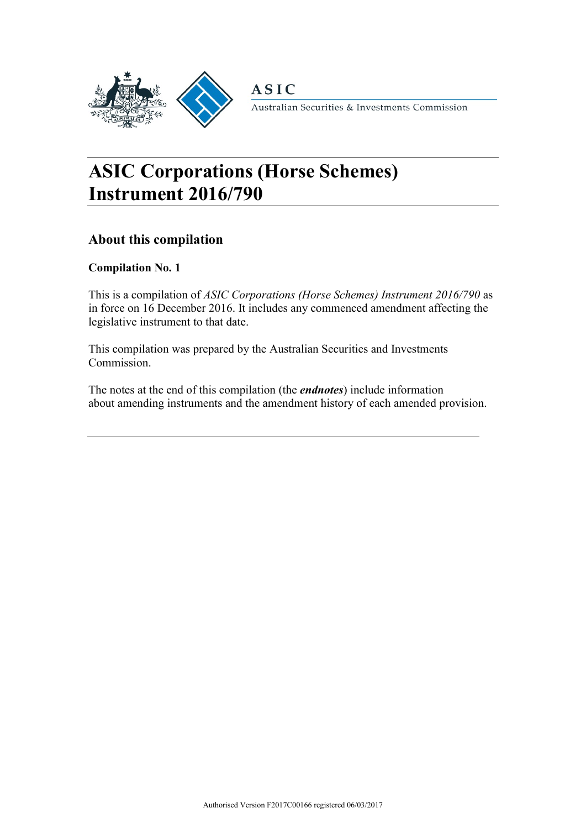

**ASIC** 

Australian Securities & Investments Commission

# **ASIC Corporations (Horse Schemes) Instrument 2016/790**

## **About this compilation**

### **Compilation No. 1**

This is a compilation of *ASIC Corporations (Horse Schemes) Instrument 2016/790* as in force on 16 December 2016. It includes any commenced amendment affecting the legislative instrument to that date.

This compilation was prepared by the Australian Securities and Investments Commission.

The notes at the end of this compilation (the *endnotes*) include information about amending instruments and the amendment history of each amended provision.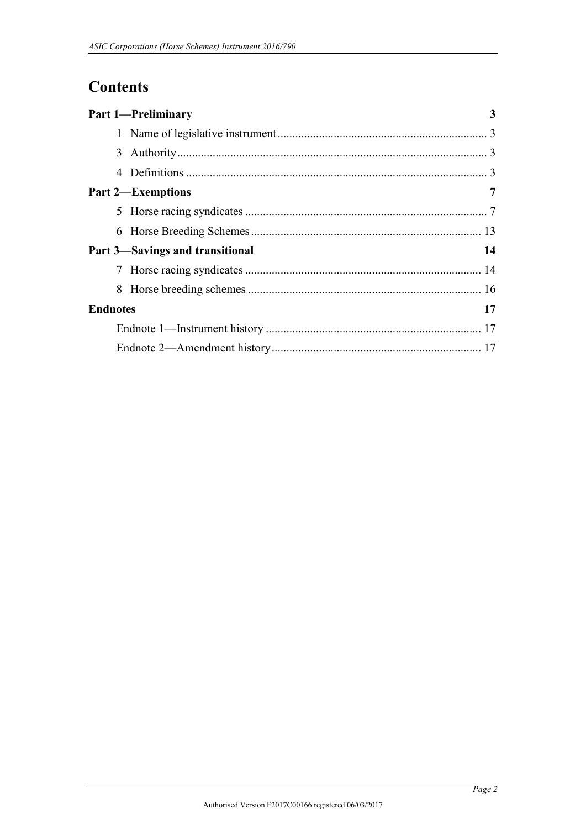# **Contents**

|                 |   | <b>Part 1-Preliminary</b>       | 3  |  |  |
|-----------------|---|---------------------------------|----|--|--|
|                 |   |                                 |    |  |  |
|                 |   |                                 |    |  |  |
|                 | 4 |                                 |    |  |  |
|                 |   | <b>Part 2-Exemptions</b>        | 7  |  |  |
|                 |   |                                 |    |  |  |
|                 |   |                                 |    |  |  |
|                 |   | Part 3-Savings and transitional | 14 |  |  |
|                 |   |                                 |    |  |  |
|                 |   |                                 |    |  |  |
| <b>Endnotes</b> |   |                                 | 17 |  |  |
|                 |   |                                 |    |  |  |
|                 |   |                                 |    |  |  |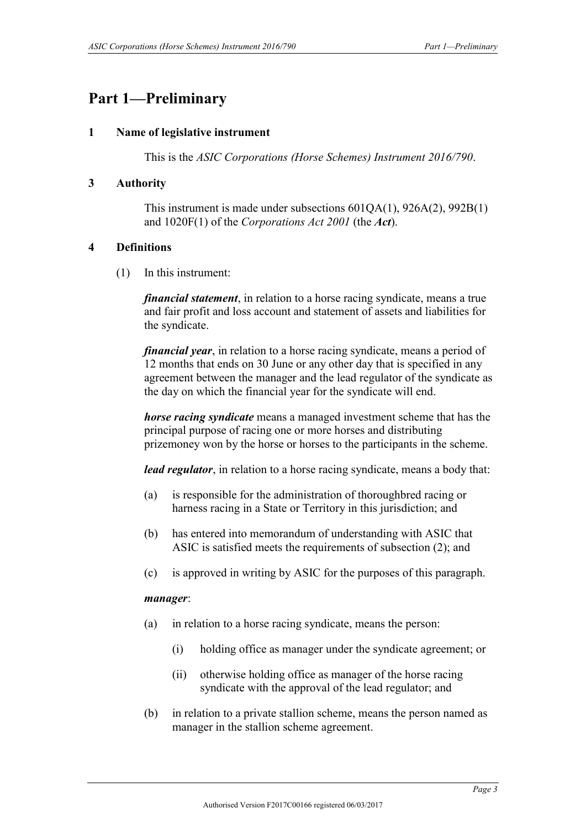# <span id="page-2-1"></span><span id="page-2-0"></span>**Part 1—Preliminary**

#### **1 Name of legislative instrument**

This is the *ASIC Corporations (Horse Schemes) Instrument 2016/790*.

#### <span id="page-2-2"></span>**3 Authority**

This instrument is made under subsections 601QA(1), 926A(2), 992B(1) and 1020F(1) of the *Corporations Act 2001* (the *Act*).

#### <span id="page-2-3"></span>**4 Definitions**

(1) In this instrument:

*financial statement*, in relation to a horse racing syndicate, means a true and fair profit and loss account and statement of assets and liabilities for the syndicate.

*financial year*, in relation to a horse racing syndicate, means a period of 12 months that ends on 30 June or any other day that is specified in any agreement between the manager and the lead regulator of the syndicate as the day on which the financial year for the syndicate will end.

*horse racing syndicate* means a managed investment scheme that has the principal purpose of racing one or more horses and distributing prizemoney won by the horse or horses to the participants in the scheme.

*lead regulator*, in relation to a horse racing syndicate, means a body that:

- (a) is responsible for the administration of thoroughbred racing or harness racing in a State or Territory in this jurisdiction; and
- (b) has entered into memorandum of understanding with ASIC that ASIC is satisfied meets the requirements of subsection (2); and
- (c) is approved in writing by ASIC for the purposes of this paragraph.

#### *manager*:

- (a) in relation to a horse racing syndicate, means the person:
	- (i) holding office as manager under the syndicate agreement; or
	- (ii) otherwise holding office as manager of the horse racing syndicate with the approval of the lead regulator; and
- (b) in relation to a private stallion scheme, means the person named as manager in the stallion scheme agreement.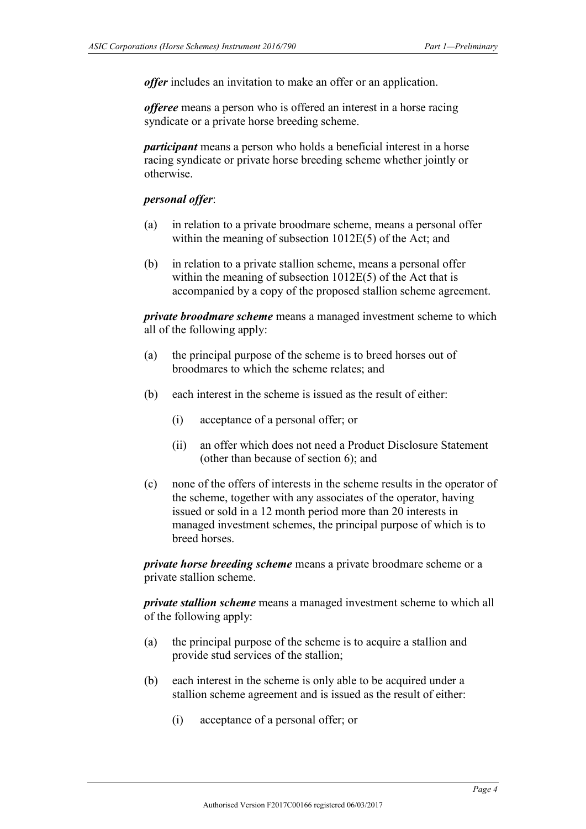*offer* includes an invitation to make an offer or an application.

*offeree* means a person who is offered an interest in a horse racing syndicate or a private horse breeding scheme.

*participant* means a person who holds a beneficial interest in a horse racing syndicate or private horse breeding scheme whether jointly or otherwise.

#### *personal offer*:

- (a) in relation to a private broodmare scheme, means a personal offer within the meaning of subsection 1012E(5) of the Act; and
- (b) in relation to a private stallion scheme, means a personal offer within the meaning of subsection 1012E(5) of the Act that is accompanied by a copy of the proposed stallion scheme agreement.

*private broodmare scheme* means a managed investment scheme to which all of the following apply:

- (a) the principal purpose of the scheme is to breed horses out of broodmares to which the scheme relates; and
- (b) each interest in the scheme is issued as the result of either:
	- (i) acceptance of a personal offer; or
	- (ii) an offer which does not need a Product Disclosure Statement (other than because of section 6); and
- (c) none of the offers of interests in the scheme results in the operator of the scheme, together with any associates of the operator, having issued or sold in a 12 month period more than 20 interests in managed investment schemes, the principal purpose of which is to breed horses.

*private horse breeding scheme* means a private broodmare scheme or a private stallion scheme.

*private stallion scheme* means a managed investment scheme to which all of the following apply:

- (a) the principal purpose of the scheme is to acquire a stallion and provide stud services of the stallion;
- (b) each interest in the scheme is only able to be acquired under a stallion scheme agreement and is issued as the result of either:
	- (i) acceptance of a personal offer; or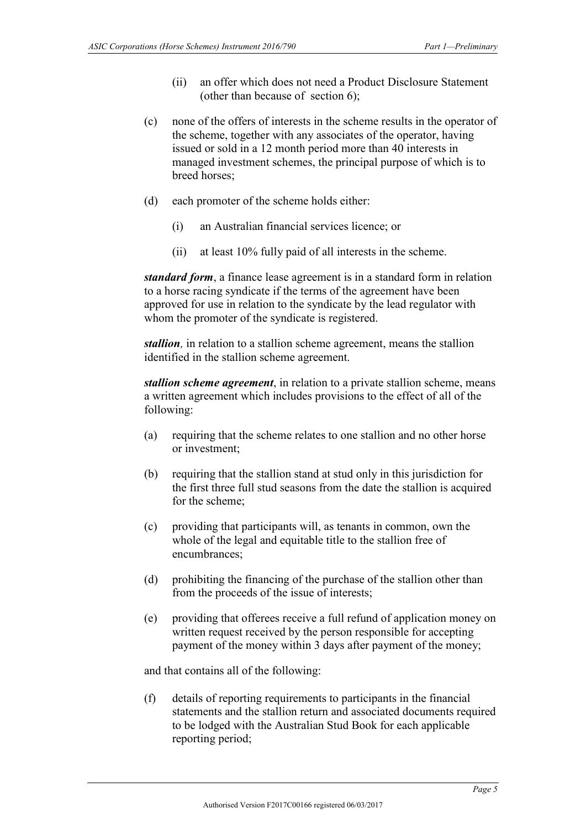- (ii) an offer which does not need a Product Disclosure Statement (other than because of section 6);
- (c) none of the offers of interests in the scheme results in the operator of the scheme, together with any associates of the operator, having issued or sold in a 12 month period more than 40 interests in managed investment schemes, the principal purpose of which is to breed horses;
- (d) each promoter of the scheme holds either:
	- (i) an Australian financial services licence; or
	- (ii) at least 10% fully paid of all interests in the scheme.

*standard form*, a finance lease agreement is in a standard form in relation to a horse racing syndicate if the terms of the agreement have been approved for use in relation to the syndicate by the lead regulator with whom the promoter of the syndicate is registered.

*stallion,* in relation to a stallion scheme agreement, means the stallion identified in the stallion scheme agreement.

*stallion scheme agreement*, in relation to a private stallion scheme, means a written agreement which includes provisions to the effect of all of the following:

- (a) requiring that the scheme relates to one stallion and no other horse or investment;
- (b) requiring that the stallion stand at stud only in this jurisdiction for the first three full stud seasons from the date the stallion is acquired for the scheme;
- (c) providing that participants will, as tenants in common, own the whole of the legal and equitable title to the stallion free of encumbrances;
- (d) prohibiting the financing of the purchase of the stallion other than from the proceeds of the issue of interests;
- (e) providing that offerees receive a full refund of application money on written request received by the person responsible for accepting payment of the money within 3 days after payment of the money;

and that contains all of the following:

(f) details of reporting requirements to participants in the financial statements and the stallion return and associated documents required to be lodged with the Australian Stud Book for each applicable reporting period;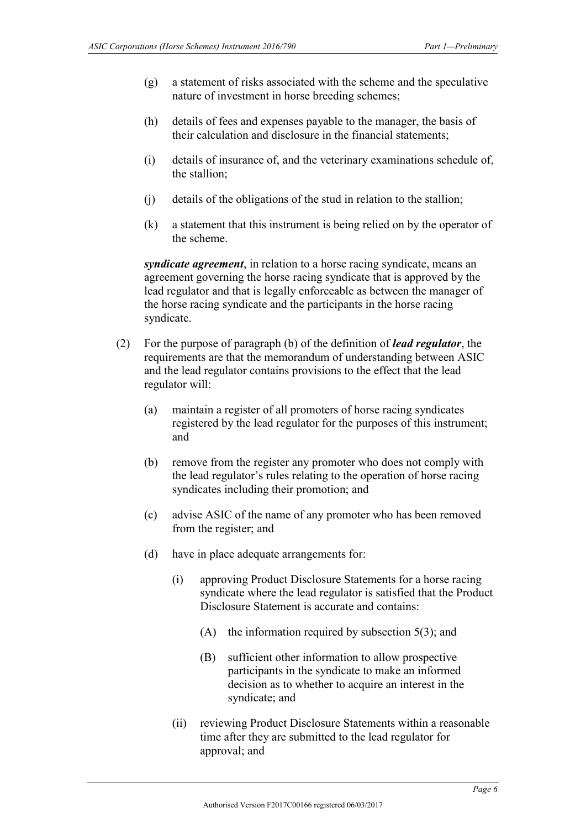- (g) a statement of risks associated with the scheme and the speculative nature of investment in horse breeding schemes;
- (h) details of fees and expenses payable to the manager, the basis of their calculation and disclosure in the financial statements;
- (i) details of insurance of, and the veterinary examinations schedule of, the stallion;
- (j) details of the obligations of the stud in relation to the stallion;
- (k) a statement that this instrument is being relied on by the operator of the scheme.

*syndicate agreement*, in relation to a horse racing syndicate, means an agreement governing the horse racing syndicate that is approved by the lead regulator and that is legally enforceable as between the manager of the horse racing syndicate and the participants in the horse racing syndicate.

- (2) For the purpose of paragraph (b) of the definition of *lead regulator*, the requirements are that the memorandum of understanding between ASIC and the lead regulator contains provisions to the effect that the lead regulator will:
	- (a) maintain a register of all promoters of horse racing syndicates registered by the lead regulator for the purposes of this instrument; and
	- (b) remove from the register any promoter who does not comply with the lead regulator's rules relating to the operation of horse racing syndicates including their promotion; and
	- (c) advise ASIC of the name of any promoter who has been removed from the register; and
	- (d) have in place adequate arrangements for:
		- (i) approving Product Disclosure Statements for a horse racing syndicate where the lead regulator is satisfied that the Product Disclosure Statement is accurate and contains:
			- (A) the information required by subsection 5(3); and
			- (B) sufficient other information to allow prospective participants in the syndicate to make an informed decision as to whether to acquire an interest in the syndicate; and
		- (ii) reviewing Product Disclosure Statements within a reasonable time after they are submitted to the lead regulator for approval; and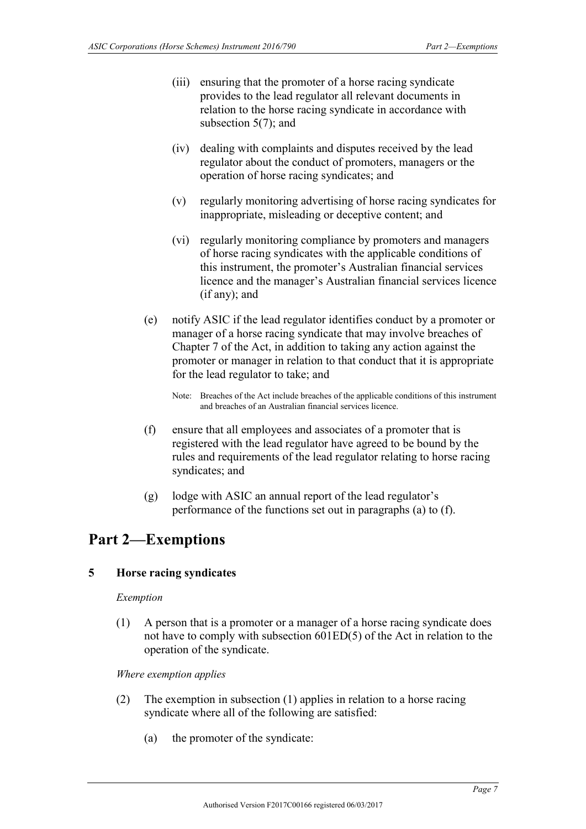- (iii) ensuring that the promoter of a horse racing syndicate provides to the lead regulator all relevant documents in relation to the horse racing syndicate in accordance with subsection 5(7); and
- (iv) dealing with complaints and disputes received by the lead regulator about the conduct of promoters, managers or the operation of horse racing syndicates; and
- (v) regularly monitoring advertising of horse racing syndicates for inappropriate, misleading or deceptive content; and
- (vi) regularly monitoring compliance by promoters and managers of horse racing syndicates with the applicable conditions of this instrument, the promoter's Australian financial services licence and the manager's Australian financial services licence (if any); and
- (e) notify ASIC if the lead regulator identifies conduct by a promoter or manager of a horse racing syndicate that may involve breaches of Chapter 7 of the Act, in addition to taking any action against the promoter or manager in relation to that conduct that it is appropriate for the lead regulator to take; and

Note: Breaches of the Act include breaches of the applicable conditions of this instrument and breaches of an Australian financial services licence.

- (f) ensure that all employees and associates of a promoter that is registered with the lead regulator have agreed to be bound by the rules and requirements of the lead regulator relating to horse racing syndicates; and
- (g) lodge with ASIC an annual report of the lead regulator's performance of the functions set out in paragraphs (a) to (f).

# <span id="page-6-1"></span><span id="page-6-0"></span>**Part 2—Exemptions**

### **5 Horse racing syndicates**

### *Exemption*

(1) A person that is a promoter or a manager of a horse racing syndicate does not have to comply with subsection 601ED(5) of the Act in relation to the operation of the syndicate.

#### *Where exemption applies*

- (2) The exemption in subsection (1) applies in relation to a horse racing syndicate where all of the following are satisfied:
	- (a) the promoter of the syndicate: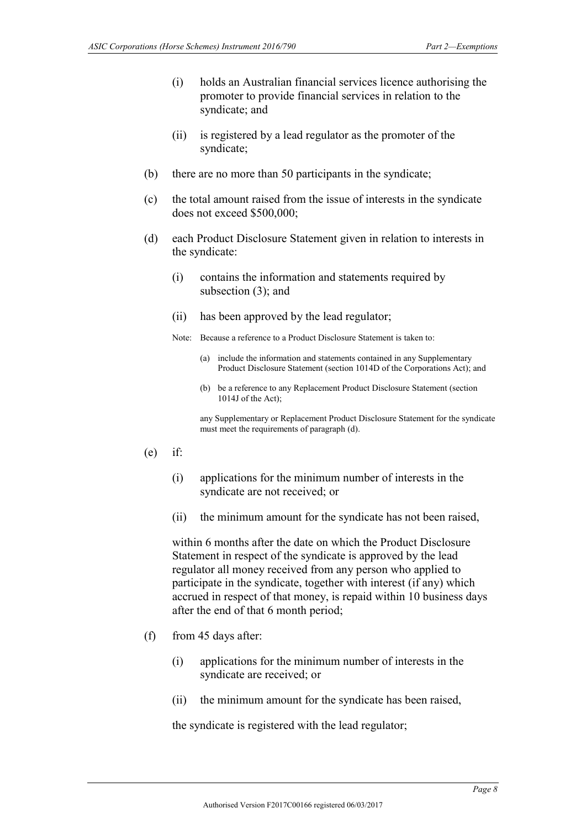- (i) holds an Australian financial services licence authorising the promoter to provide financial services in relation to the syndicate; and
- (ii) is registered by a lead regulator as the promoter of the syndicate;
- (b) there are no more than 50 participants in the syndicate;
- (c) the total amount raised from the issue of interests in the syndicate does not exceed \$500,000;
- (d) each Product Disclosure Statement given in relation to interests in the syndicate:
	- (i) contains the information and statements required by subsection (3); and
	- (ii) has been approved by the lead regulator;

Note: Because a reference to a Product Disclosure Statement is taken to:

- (a) include the information and statements contained in any Supplementary Product Disclosure Statement (section 1014D of the Corporations Act); and
- (b) be a reference to any Replacement Product Disclosure Statement (section 1014J of the Act);

any Supplementary or Replacement Product Disclosure Statement for the syndicate must meet the requirements of paragraph (d).

- $(e)$  if:
	- (i) applications for the minimum number of interests in the syndicate are not received; or
	- (ii) the minimum amount for the syndicate has not been raised,

within 6 months after the date on which the Product Disclosure Statement in respect of the syndicate is approved by the lead regulator all money received from any person who applied to participate in the syndicate, together with interest (if any) which accrued in respect of that money, is repaid within 10 business days after the end of that 6 month period;

- (f) from 45 days after:
	- (i) applications for the minimum number of interests in the syndicate are received; or
	- (ii) the minimum amount for the syndicate has been raised,

the syndicate is registered with the lead regulator;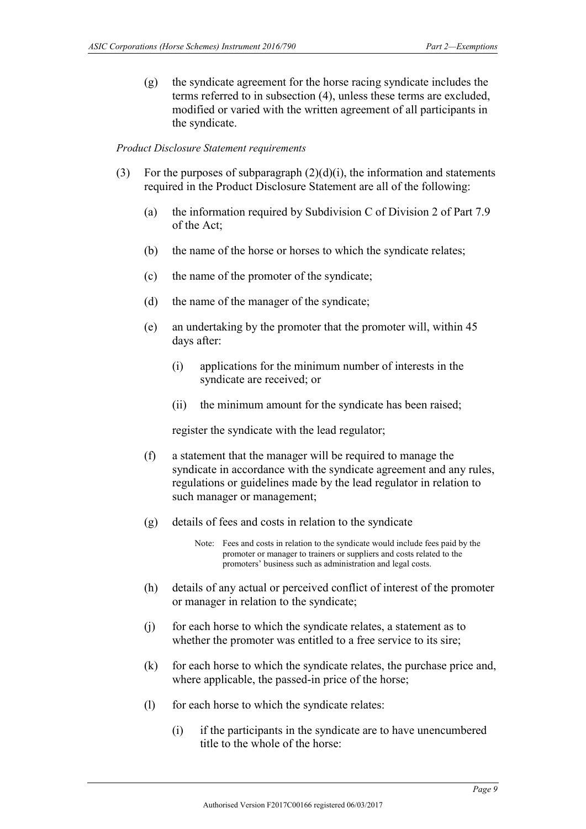(g) the syndicate agreement for the horse racing syndicate includes the terms referred to in subsection (4), unless these terms are excluded, modified or varied with the written agreement of all participants in the syndicate.

#### *Product Disclosure Statement requirements*

- (3) For the purposes of subparagraph  $(2)(d)(i)$ , the information and statements required in the Product Disclosure Statement are all of the following:
	- (a) the information required by Subdivision C of Division 2 of Part 7.9 of the Act;
	- (b) the name of the horse or horses to which the syndicate relates;
	- (c) the name of the promoter of the syndicate;
	- (d) the name of the manager of the syndicate;
	- (e) an undertaking by the promoter that the promoter will, within 45 days after:
		- (i) applications for the minimum number of interests in the syndicate are received; or
		- (ii) the minimum amount for the syndicate has been raised;

register the syndicate with the lead regulator;

- (f) a statement that the manager will be required to manage the syndicate in accordance with the syndicate agreement and any rules, regulations or guidelines made by the lead regulator in relation to such manager or management;
- (g) details of fees and costs in relation to the syndicate

- (h) details of any actual or perceived conflict of interest of the promoter or manager in relation to the syndicate;
- (j) for each horse to which the syndicate relates, a statement as to whether the promoter was entitled to a free service to its sire;
- (k) for each horse to which the syndicate relates, the purchase price and, where applicable, the passed-in price of the horse;
- (l) for each horse to which the syndicate relates:
	- (i) if the participants in the syndicate are to have unencumbered title to the whole of the horse:

Note: Fees and costs in relation to the syndicate would include fees paid by the promoter or manager to trainers or suppliers and costs related to the promoters' business such as administration and legal costs.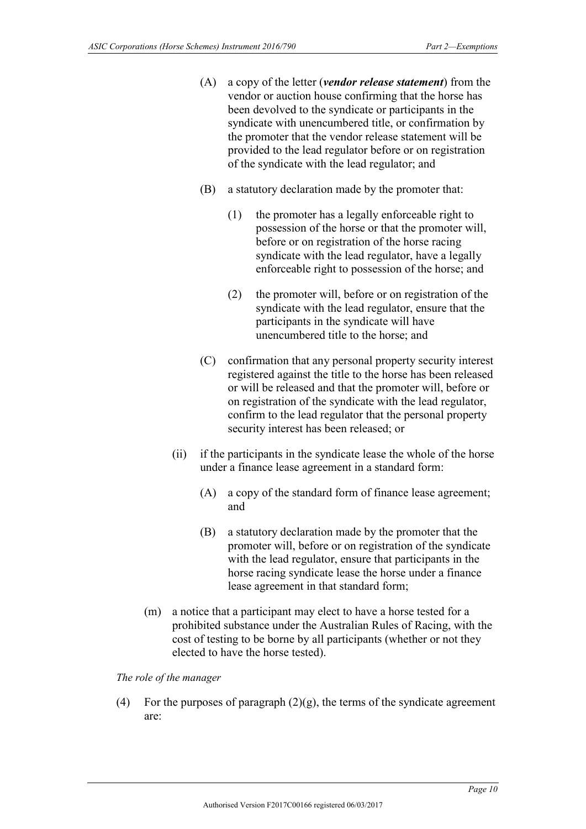- (A) a copy of the letter (*vendor release statement*) from the vendor or auction house confirming that the horse has been devolved to the syndicate or participants in the syndicate with unencumbered title, or confirmation by the promoter that the vendor release statement will be provided to the lead regulator before or on registration of the syndicate with the lead regulator; and
- (B) a statutory declaration made by the promoter that:
	- (1) the promoter has a legally enforceable right to possession of the horse or that the promoter will, before or on registration of the horse racing syndicate with the lead regulator, have a legally enforceable right to possession of the horse; and
	- (2) the promoter will, before or on registration of the syndicate with the lead regulator, ensure that the participants in the syndicate will have unencumbered title to the horse; and
- (C) confirmation that any personal property security interest registered against the title to the horse has been released or will be released and that the promoter will, before or on registration of the syndicate with the lead regulator, confirm to the lead regulator that the personal property security interest has been released; or
- (ii) if the participants in the syndicate lease the whole of the horse under a finance lease agreement in a standard form:
	- (A) a copy of the standard form of finance lease agreement; and
	- (B) a statutory declaration made by the promoter that the promoter will, before or on registration of the syndicate with the lead regulator, ensure that participants in the horse racing syndicate lease the horse under a finance lease agreement in that standard form;
- (m) a notice that a participant may elect to have a horse tested for a prohibited substance under the Australian Rules of Racing, with the cost of testing to be borne by all participants (whether or not they elected to have the horse tested).

*The role of the manager*

(4) For the purposes of paragraph  $(2)(g)$ , the terms of the syndicate agreement are: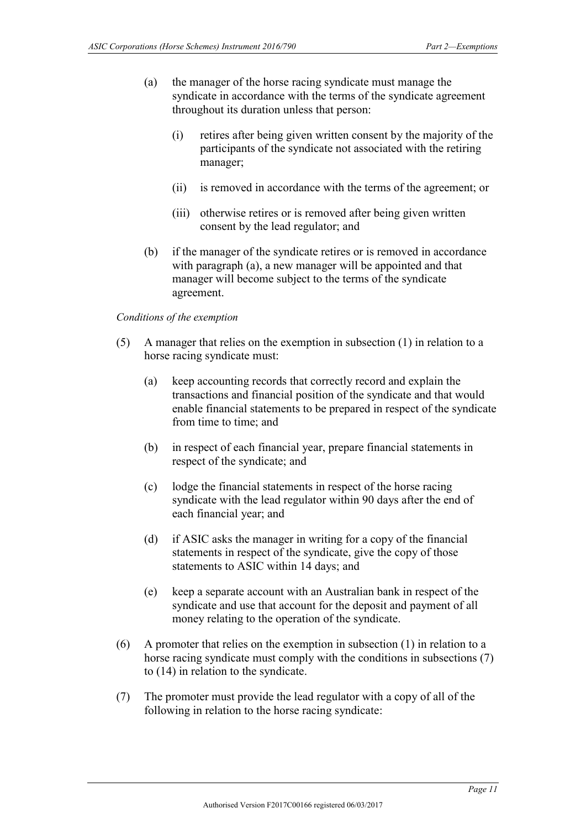- (a) the manager of the horse racing syndicate must manage the syndicate in accordance with the terms of the syndicate agreement throughout its duration unless that person:
	- (i) retires after being given written consent by the majority of the participants of the syndicate not associated with the retiring manager;
	- (ii) is removed in accordance with the terms of the agreement; or
	- (iii) otherwise retires or is removed after being given written consent by the lead regulator; and
- (b) if the manager of the syndicate retires or is removed in accordance with paragraph (a), a new manager will be appointed and that manager will become subject to the terms of the syndicate agreement.

#### *Conditions of the exemption*

- (5) A manager that relies on the exemption in subsection (1) in relation to a horse racing syndicate must:
	- (a) keep accounting records that correctly record and explain the transactions and financial position of the syndicate and that would enable financial statements to be prepared in respect of the syndicate from time to time; and
	- (b) in respect of each financial year, prepare financial statements in respect of the syndicate; and
	- (c) lodge the financial statements in respect of the horse racing syndicate with the lead regulator within 90 days after the end of each financial year; and
	- (d) if ASIC asks the manager in writing for a copy of the financial statements in respect of the syndicate, give the copy of those statements to ASIC within 14 days; and
	- (e) keep a separate account with an Australian bank in respect of the syndicate and use that account for the deposit and payment of all money relating to the operation of the syndicate.
- (6) A promoter that relies on the exemption in subsection (1) in relation to a horse racing syndicate must comply with the conditions in subsections (7) to (14) in relation to the syndicate.
- (7) The promoter must provide the lead regulator with a copy of all of the following in relation to the horse racing syndicate: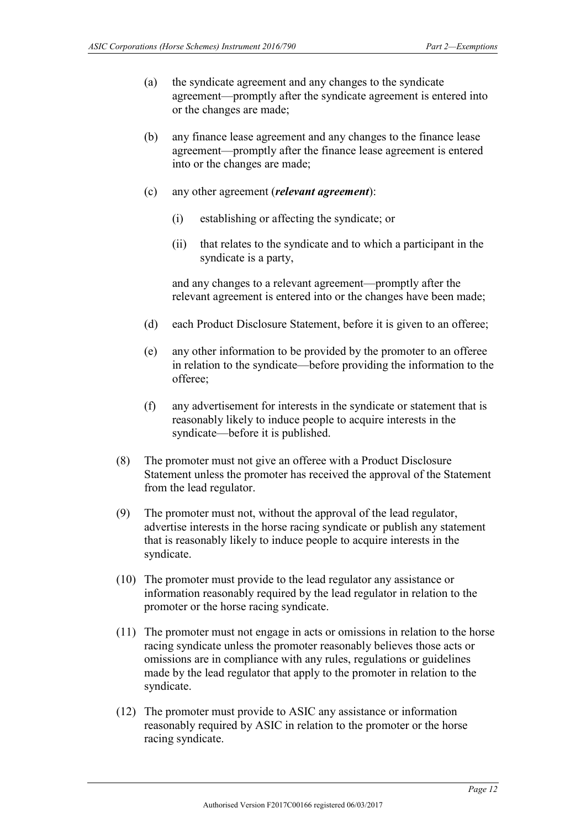- (a) the syndicate agreement and any changes to the syndicate agreement—promptly after the syndicate agreement is entered into or the changes are made;
- (b) any finance lease agreement and any changes to the finance lease agreement—promptly after the finance lease agreement is entered into or the changes are made;
- (c) any other agreement (*relevant agreement*):
	- (i) establishing or affecting the syndicate; or
	- (ii) that relates to the syndicate and to which a participant in the syndicate is a party,

and any changes to a relevant agreement—promptly after the relevant agreement is entered into or the changes have been made;

- (d) each Product Disclosure Statement, before it is given to an offeree;
- (e) any other information to be provided by the promoter to an offeree in relation to the syndicate—before providing the information to the offeree;
- (f) any advertisement for interests in the syndicate or statement that is reasonably likely to induce people to acquire interests in the syndicate—before it is published.
- (8) The promoter must not give an offeree with a Product Disclosure Statement unless the promoter has received the approval of the Statement from the lead regulator.
- (9) The promoter must not, without the approval of the lead regulator, advertise interests in the horse racing syndicate or publish any statement that is reasonably likely to induce people to acquire interests in the syndicate.
- (10) The promoter must provide to the lead regulator any assistance or information reasonably required by the lead regulator in relation to the promoter or the horse racing syndicate.
- (11) The promoter must not engage in acts or omissions in relation to the horse racing syndicate unless the promoter reasonably believes those acts or omissions are in compliance with any rules, regulations or guidelines made by the lead regulator that apply to the promoter in relation to the syndicate.
- (12) The promoter must provide to ASIC any assistance or information reasonably required by ASIC in relation to the promoter or the horse racing syndicate.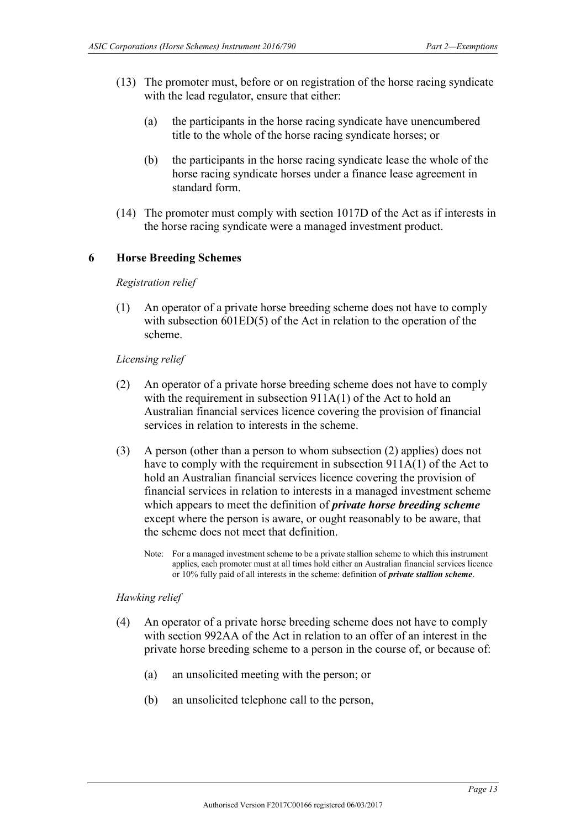- (13) The promoter must, before or on registration of the horse racing syndicate with the lead regulator, ensure that either:
	- (a) the participants in the horse racing syndicate have unencumbered title to the whole of the horse racing syndicate horses; or
	- (b) the participants in the horse racing syndicate lease the whole of the horse racing syndicate horses under a finance lease agreement in standard form.
- (14) The promoter must comply with section 1017D of the Act as if interests in the horse racing syndicate were a managed investment product.

#### <span id="page-12-0"></span>**6 Horse Breeding Schemes**

#### *Registration relief*

(1) An operator of a private horse breeding scheme does not have to comply with subsection 601ED(5) of the Act in relation to the operation of the scheme.

#### *Licensing relief*

- (2) An operator of a private horse breeding scheme does not have to comply with the requirement in subsection 911A(1) of the Act to hold an Australian financial services licence covering the provision of financial services in relation to interests in the scheme.
- (3) A person (other than a person to whom subsection (2) applies) does not have to comply with the requirement in subsection 911A(1) of the Act to hold an Australian financial services licence covering the provision of financial services in relation to interests in a managed investment scheme which appears to meet the definition of *private horse breeding scheme* except where the person is aware, or ought reasonably to be aware, that the scheme does not meet that definition.
	- Note: For a managed investment scheme to be a private stallion scheme to which this instrument applies, each promoter must at all times hold either an Australian financial services licence or 10% fully paid of all interests in the scheme: definition of *private stallion scheme*.

#### *Hawking relief*

- (4) An operator of a private horse breeding scheme does not have to comply with section 992AA of the Act in relation to an offer of an interest in the private horse breeding scheme to a person in the course of, or because of:
	- (a) an unsolicited meeting with the person; or
	- (b) an unsolicited telephone call to the person,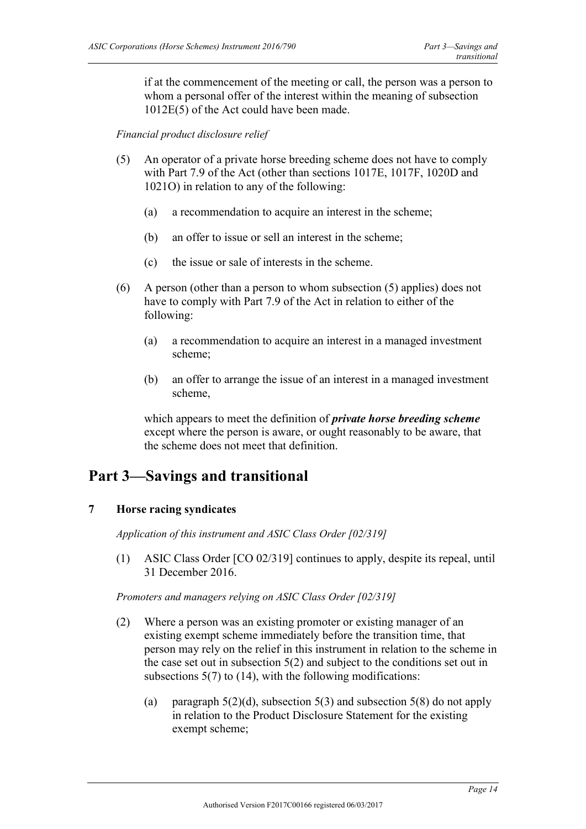if at the commencement of the meeting or call, the person was a person to whom a personal offer of the interest within the meaning of subsection 1012E(5) of the Act could have been made.

*Financial product disclosure relief*

- (5) An operator of a private horse breeding scheme does not have to comply with Part 7.9 of the Act (other than sections 1017E, 1017F, 1020D and 1021O) in relation to any of the following:
	- (a) a recommendation to acquire an interest in the scheme;
	- (b) an offer to issue or sell an interest in the scheme;
	- (c) the issue or sale of interests in the scheme.
- (6) A person (other than a person to whom subsection (5) applies) does not have to comply with Part 7.9 of the Act in relation to either of the following:
	- (a) a recommendation to acquire an interest in a managed investment scheme;
	- (b) an offer to arrange the issue of an interest in a managed investment scheme,

which appears to meet the definition of *private horse breeding scheme* except where the person is aware, or ought reasonably to be aware, that the scheme does not meet that definition.

# <span id="page-13-1"></span><span id="page-13-0"></span>**Part 3—Savings and transitional**

### **7 Horse racing syndicates**

*Application of this instrument and ASIC Class Order [02/319]*

(1) ASIC Class Order [CO 02/319] continues to apply, despite its repeal, until 31 December 2016.

#### *Promoters and managers relying on ASIC Class Order [02/319]*

- (2) Where a person was an existing promoter or existing manager of an existing exempt scheme immediately before the transition time, that person may rely on the relief in this instrument in relation to the scheme in the case set out in subsection 5(2) and subject to the conditions set out in subsections  $5(7)$  to  $(14)$ , with the following modifications:
	- (a) paragraph  $5(2)(d)$ , subsection  $5(3)$  and subsection  $5(8)$  do not apply in relation to the Product Disclosure Statement for the existing exempt scheme;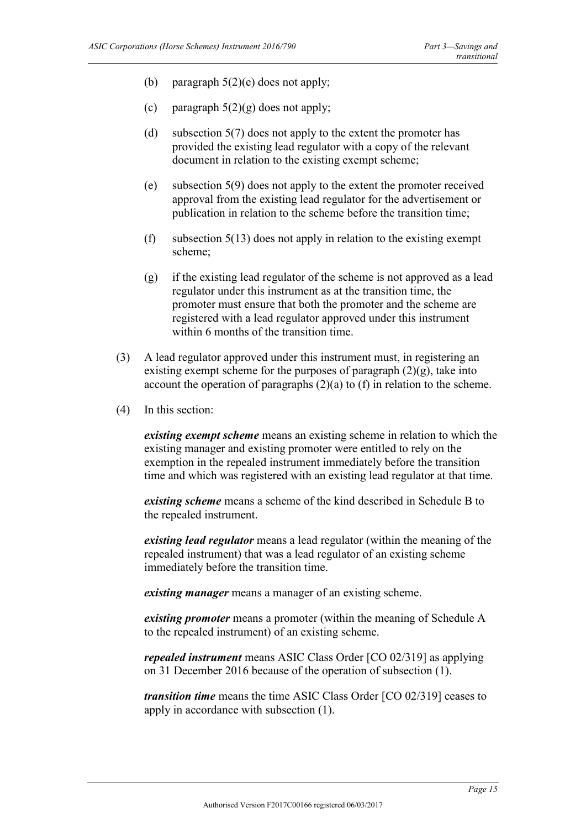- (b) paragraph  $5(2)$ (e) does not apply;
- (c) paragraph  $5(2)(g)$  does not apply;
- (d) subsection 5(7) does not apply to the extent the promoter has provided the existing lead regulator with a copy of the relevant document in relation to the existing exempt scheme;
- (e) subsection 5(9) does not apply to the extent the promoter received approval from the existing lead regulator for the advertisement or publication in relation to the scheme before the transition time;
- (f) subsection  $5(13)$  does not apply in relation to the existing exempt scheme;
- (g) if the existing lead regulator of the scheme is not approved as a lead regulator under this instrument as at the transition time, the promoter must ensure that both the promoter and the scheme are registered with a lead regulator approved under this instrument within 6 months of the transition time.
- (3) A lead regulator approved under this instrument must, in registering an existing exempt scheme for the purposes of paragraph  $(2)(g)$ , take into account the operation of paragraphs (2)(a) to (f) in relation to the scheme.
- (4) In this section:

*existing exempt scheme* means an existing scheme in relation to which the existing manager and existing promoter were entitled to rely on the exemption in the repealed instrument immediately before the transition time and which was registered with an existing lead regulator at that time.

*existing scheme* means a scheme of the kind described in Schedule B to the repealed instrument.

*existing lead regulator* means a lead regulator (within the meaning of the repealed instrument) that was a lead regulator of an existing scheme immediately before the transition time.

*existing manager* means a manager of an existing scheme.

*existing promoter* means a promoter (within the meaning of Schedule A to the repealed instrument) of an existing scheme.

*repealed instrument* means ASIC Class Order [CO 02/319] as applying on 31 December 2016 because of the operation of subsection (1).

*transition time* means the time ASIC Class Order [CO 02/319] ceases to apply in accordance with subsection (1).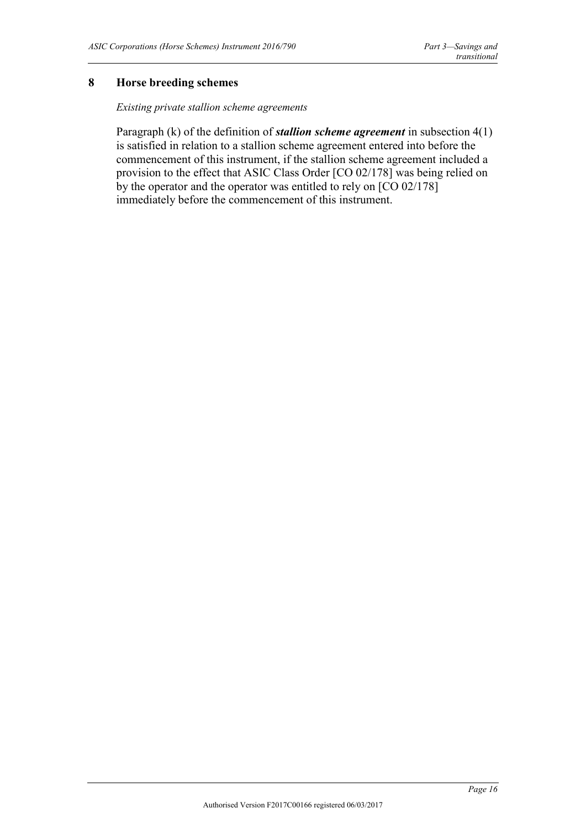#### <span id="page-15-0"></span>**8 Horse breeding schemes**

#### *Existing private stallion scheme agreements*

Paragraph (k) of the definition of *stallion scheme agreement* in subsection 4(1) is satisfied in relation to a stallion scheme agreement entered into before the commencement of this instrument, if the stallion scheme agreement included a provision to the effect that ASIC Class Order [CO 02/178] was being relied on by the operator and the operator was entitled to rely on [CO 02/178] immediately before the commencement of this instrument.